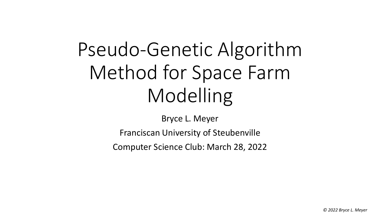# Pseudo-Genetic Algorithm Method for Space Farm Modelling

Bryce L. Meyer

Franciscan University of Steubenville

Computer Science Club: March 28, 2022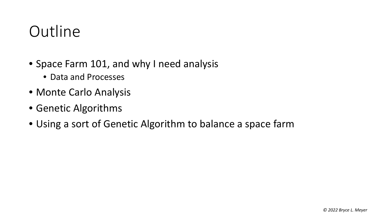#### **Outline**

- Space Farm 101, and why I need analysis
	- Data and Processes
- Monte Carlo Analysis
- Genetic Algorithms
- Using a sort of Genetic Algorithm to balance a space farm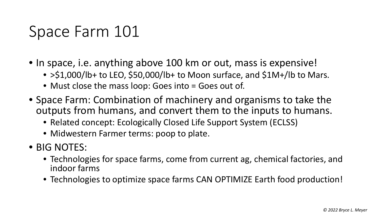#### Space Farm 101

- In space, i.e. anything above 100 km or out, mass is expensive!
	- >\$1,000/lb+ to LEO, \$50,000/lb+ to Moon surface, and \$1M+/lb to Mars.
	- Must close the mass loop: Goes into = Goes out of.
- Space Farm: Combination of machinery and organisms to take the outputs from humans, and convert them to the inputs to humans.
	- Related concept: Ecologically Closed Life Support System (ECLSS)
	- Midwestern Farmer terms: poop to plate.
- BIG NOTES:
	- Technologies for space farms, come from current ag, chemical factories, and indoor farms
	- Technologies to optimize space farms CAN OPTIMIZE Earth food production!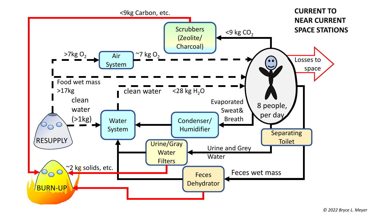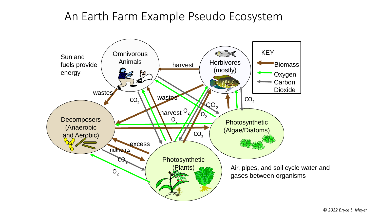#### An Earth Farm Example Pseudo Ecosystem

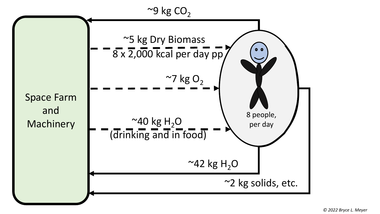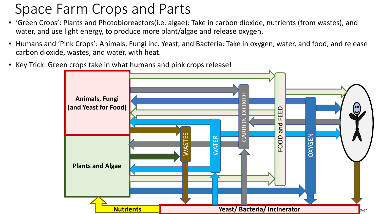#### Space Farm Crops and Parts

- 'Green Crops': Plants and Photobioreactors(i.e. algae): Take in carbon dioxide, nutrients (from wastes), and water, and use light energy, to produce more plant/algae and release oxygen.
- Humans and 'Pink Crops': Animals, Fungi inc. Yeast, and Bacteria: Take in oxygen, water, and food, and release carbon dioxide, wastes, and water, with heat.
- Key Trick: Green crops take in what humans and pink crops release!

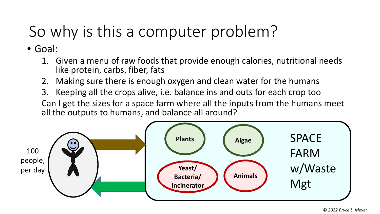## So why is this a computer problem?

• Goal:

- 1. Given a menu of raw foods that provide enough calories, nutritional needs like protein, carbs, fiber, fats
- 2. Making sure there is enough oxygen and clean water for the humans
- 3. Keeping all the crops alive, i.e. balance ins and outs for each crop too Can I get the sizes for a space farm where all the inputs from the humans meet all the outputs to humans, and balance all around?

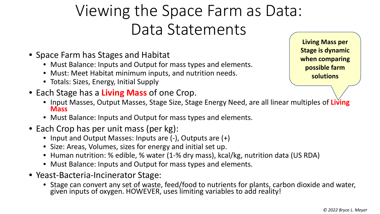### Viewing the Space Farm as Data: Data Statements

- Space Farm has Stages and Habitat
	- Must Balance: Inputs and Output for mass types and elements.
	- Must: Meet Habitat minimum inputs, and nutrition needs.
	- Totals: Sizes, Energy, Initial Supply
- Each Stage has a **Living Mass** of one Crop.
	- Input Masses, Output Masses, Stage Size, Stage Energy Need, are all linear multiples of **Living Mass**
	- Must Balance: Inputs and Output for mass types and elements.
- Each Crop has per unit mass (per kg):
	- Input and Output Masses: Inputs are (-), Outputs are (+)
	- Size: Areas, Volumes, sizes for energy and initial set up.
	- Human nutrition: % edible, % water (1-% dry mass), kcal/kg, nutrition data (US RDA)
	- Must Balance: Inputs and Output for mass types and elements.
- Yeast-Bacteria-Incinerator Stage:
	- Stage can convert any set of waste, feed/food to nutrients for plants, carbon dioxide and water, given inputs of oxygen. HOWEVER, uses limiting variables to add reality!

**Living Mass per Stage is dynamic when comparing possible farm solutions**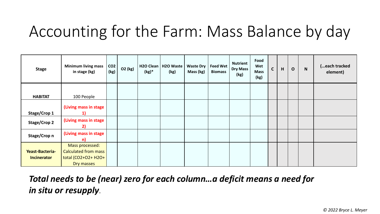### Accounting for the Farm: Mass Balance by day

| <b>Stage</b>                                 | <b>Minimum living mass</b><br>in stage (kg)                                         | CO <sub>2</sub><br>(kg) | O2 (kg) | $(kg)^*$ | H <sub>2</sub> O Clean   H <sub>2</sub> O Waste<br>(kg) | <b>Waste Dry</b><br>Mass (kg) | <b>Feed Wet</b><br><b>Biomass</b> | <b>Nutrient</b><br>Dry Mass<br>(kg) | Food<br>Wet<br><b>Mass</b><br>(kg) | $\mathsf{C}$ | H | $\mathbf{o}$ | $\mathbf N$ | (each tracked<br>element) |
|----------------------------------------------|-------------------------------------------------------------------------------------|-------------------------|---------|----------|---------------------------------------------------------|-------------------------------|-----------------------------------|-------------------------------------|------------------------------------|--------------|---|--------------|-------------|---------------------------|
| <b>HABITAT</b>                               | 100 People                                                                          |                         |         |          |                                                         |                               |                                   |                                     |                                    |              |   |              |             |                           |
| Stage/Crop 1                                 | (Living mass in stage                                                               |                         |         |          |                                                         |                               |                                   |                                     |                                    |              |   |              |             |                           |
| <b>Stage/Crop 2</b>                          | (Living mass in stage<br>2)                                                         |                         |         |          |                                                         |                               |                                   |                                     |                                    |              |   |              |             |                           |
| Stage/Crop n                                 | (Living mass in stage<br>n)                                                         |                         |         |          |                                                         |                               |                                   |                                     |                                    |              |   |              |             |                           |
| <b>Yeast-Bacteria-</b><br><b>Incinerator</b> | Mass processed:<br><b>Calculated from mass</b><br>total (CO2+O2+ H2O+<br>Dry masses |                         |         |          |                                                         |                               |                                   |                                     |                                    |              |   |              |             |                           |

*Total needs to be (near) zero for each column…a deficit means a need for in situ or resupply*.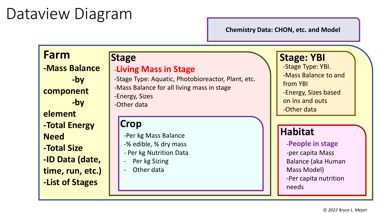#### Dataview Diagram

**Chemistry Data: CHON, etc. and Model**

#### **Farm**

**-Mass Balance -by component -by element -Total Energy Need -Total Size -ID Data (date, time, run, etc.) -List of Stages**

#### -**Living Mass in Stage**

-Stage Type: Aquatic, Photobioreactor, Plant, etc. -Mass Balance for all living mass in stage -Energy, Sizes -Other data

#### **Crop**

-Per kg Mass Balance

- -% edible, % dry mass
- Per kg Nutrition Data
- Per kg Sizing
- Other data

#### **Stage Stage: YBI**

-Stage Type: YBI.

-Mass Balance to and

from YBI

- -Energy, Sizes based
- on ins and outs
- -Other data

#### **Habitat**

-**People in stage** -per capita Mass Balance (aka Human Mass Model) -Per capita nutrition needs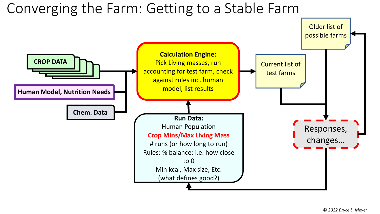#### Converging the Farm: Getting to a Stable Farm

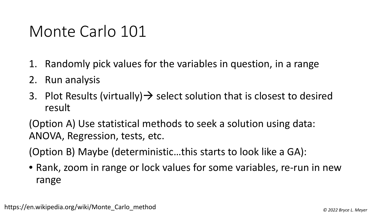#### Monte Carlo 101

- 1. Randomly pick values for the variables in question, in a range
- 2. Run analysis
- 3. Plot Results (virtually)  $\rightarrow$  select solution that is closest to desired result

(Option A) Use statistical methods to seek a solution using data: ANOVA, Regression, tests, etc.

(Option B) Maybe (deterministic…this starts to look like a GA):

• Rank, zoom in range or lock values for some variables, re-run in new range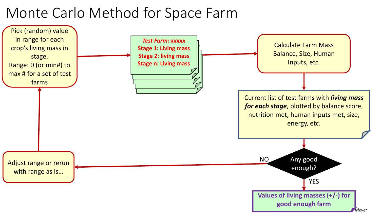#### Monte Carlo Method for Space Farm

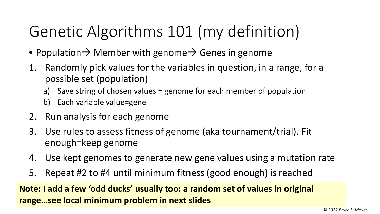### Genetic Algorithms 101 (my definition)

- Population  $\rightarrow$  Member with genome  $\rightarrow$  Genes in genome
- 1. Randomly pick values for the variables in question, in a range, for a possible set (population)
	- a) Save string of chosen values = genome for each member of population
	- b) Each variable value=gene
- 2. Run analysis for each genome
- 3. Use rules to assess fitness of genome (aka tournament/trial). Fit enough=keep genome
- 4. Use kept genomes to generate new gene values using a mutation rate
- 5. Repeat #2 to #4 until minimum fitness (good enough) is reached

**Note: I add a few 'odd ducks' usually too: a random set of values in original range…see local minimum problem in next slides**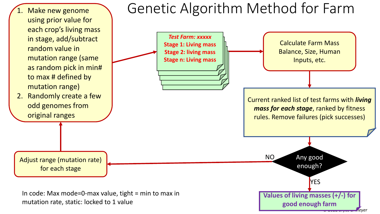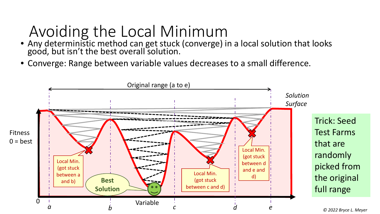### Avoiding the Local Minimum

- Any deterministic method can get stuck (converge) in a local solution that looks good, but isn't the best overall solution.
- Converge: Range between variable values decreases to a small difference.

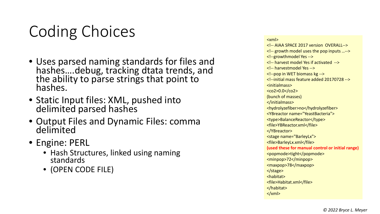### Coding Choices

- Uses parsed naming standards for files and hashes….debug, tracking dtata trends, and the ability to parse strings that point to hashes.
- Static Input files: XML, pushed into delimited parsed hashes
- Output Files and Dynamic Files: comma delimited
- Engine: PERL
	- Hash Structures, linked using naming standards
	- (OPEN CODE FILE)

<xml> <!-- AIAA SPACE 2017 version OVERALL--> <!-- growth model uses the pop inputs …--> <!--growthmodel Yes --> <!-- harvest model Yes if activated --> <!-- harvestmodel Yes --> <!--pop in WET biomass kg --> <!--initial mass feature added 20170728 --> <initialmass> <co2>0.0</co2> (bunch of masses) </initialmass> <hydrolyzefiber>no</hydrolyzefiber> <YBreactor name="YeastBacteria"> <type>BalanceReactor</type> <file>YBReactor.xml</file> </YBreactor> <stage name="BarleyLx"> <file>BarleyLx.xml</file> **(used these for manual control or initial range)** <popmode>tight</popmode> <minpop>72</minpop> <maxpop>78</maxpop> </stage> <habitat> <file>Habitat.xml</file> </habitat>  $\langle xm|$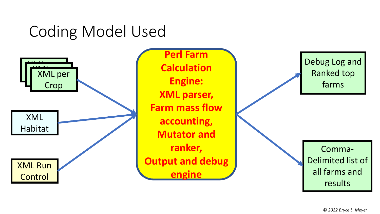#### Coding Model Used



*© 2022 Bryce L. Meyer*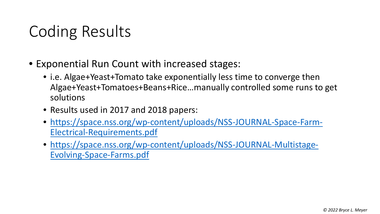### Coding Results

- Exponential Run Count with increased stages:
	- i.e. Algae+Yeast+Tomato take exponentially less time to converge then Algae+Yeast+Tomatoes+Beans+Rice…manually controlled some runs to get solutions
	- Results used in 2017 and 2018 papers:
	- [https://space.nss.org/wp-content/uploads/NSS-JOURNAL-Space-Farm-](https://space.nss.org/wp-content/uploads/NSS-JOURNAL-Space-Farm-Electrical-Requirements.pdf)Electrical-Requirements.pdf
	- [https://space.nss.org/wp-content/uploads/NSS-JOURNAL-Multistage-](https://space.nss.org/wp-content/uploads/NSS-JOURNAL-Multistage-Evolving-Space-Farms.pdf)Evolving-Space-Farms.pdf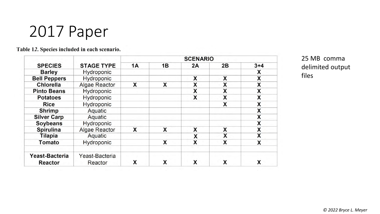#### 2017 Paper

|  |  |  |  |  | Table 12. Species included in each scenario. |  |
|--|--|--|--|--|----------------------------------------------|--|
|--|--|--|--|--|----------------------------------------------|--|

|                     |                   | <b>SCENARIO</b> |    |    |    |         |  |  |  |  |
|---------------------|-------------------|-----------------|----|----|----|---------|--|--|--|--|
| <b>SPECIES</b>      | <b>STAGE TYPE</b> | <b>1A</b>       | 1B | 2A | 2B | $3 + 4$ |  |  |  |  |
| <b>Barley</b>       | Hydroponic        |                 |    |    |    | x       |  |  |  |  |
| <b>Bell Peppers</b> | Hydroponic        |                 |    | X  | X  | X       |  |  |  |  |
| <b>Chlorella</b>    | Algae Reactor     | X               | X  | X  | x  | X       |  |  |  |  |
| <b>Pinto Beans</b>  | Hydroponic        |                 |    | X  | X  | X       |  |  |  |  |
| <b>Potatoes</b>     | Hydroponic        |                 |    | X  | X  | X       |  |  |  |  |
| <b>Rice</b>         | Hydroponic        |                 |    |    | X  | X       |  |  |  |  |
| <b>Shrimp</b>       | Aquatic           |                 |    |    |    | Χ       |  |  |  |  |
| <b>Silver Carp</b>  | Aquatic           |                 |    |    |    | X       |  |  |  |  |
| <b>Soybeans</b>     | Hydroponic        |                 |    |    |    | X       |  |  |  |  |
| <b>Spirulina</b>    | Algae Reactor     | X               | X  | X  | X  | X       |  |  |  |  |
| <b>Tilapia</b>      | Aquatic           |                 |    | X  | X  | X       |  |  |  |  |
| Tomato              | Hydroponic        |                 | X  | X  | X  | X       |  |  |  |  |
| Yeast-Bacteria      | Yeast-Bacteria    |                 |    |    |    |         |  |  |  |  |
| <b>Reactor</b>      | Reactor           | X               | X  | X  | X  | X       |  |  |  |  |

25 MB comma delimited output files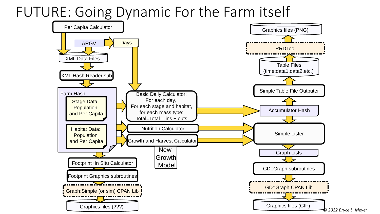#### FUTURE: Going Dynamic For the Farm itself

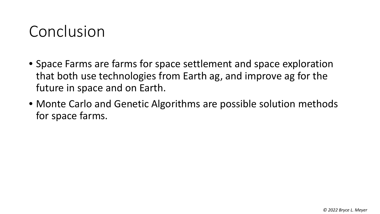#### Conclusion

- Space Farms are farms for space settlement and space exploration that both use technologies from Earth ag, and improve ag for the future in space and on Earth.
- Monte Carlo and Genetic Algorithms are possible solution methods for space farms.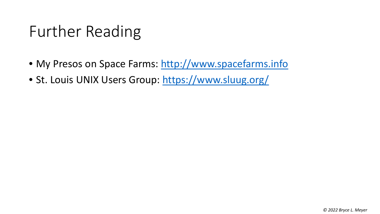#### Further Reading

- My Presos on Space Farms: [http://www.spacefarms.info](http://www.spacefarms.info/)
- St. Louis UNIX Users Group: <https://www.sluug.org/>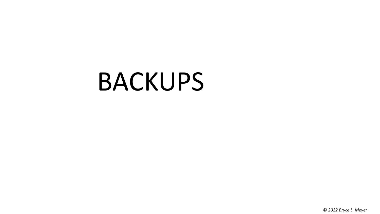# BACKUPS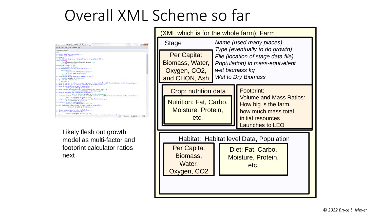#### Overall XML Scheme so far



Likely flesh out growth model as multi-factor and footprint calculator ratios next

| XML which is for the whole farm): Farm |                                                      |                                                                                                                               |  |            |  |  |  |  |
|----------------------------------------|------------------------------------------------------|-------------------------------------------------------------------------------------------------------------------------------|--|------------|--|--|--|--|
|                                        | Stage                                                | Name (used many places)<br>Type (eventually to do growth)                                                                     |  |            |  |  |  |  |
|                                        | Per Capita:<br>Biomass, Water,<br>Oxygen, CO2,       | File (location of stage data file)<br>Pop(ulation) in mass-equivelent<br>wet biomass kg                                       |  |            |  |  |  |  |
|                                        | and CHON, Ash                                        | <b>Wet to Dry Biomass</b>                                                                                                     |  |            |  |  |  |  |
|                                        | Crop: nutrition data                                 |                                                                                                                               |  | Footprint: |  |  |  |  |
|                                        | Nutrition: Fat, Carbo,<br>Moisture, Protein,<br>etc. | <b>Volume and Mass Ratios:</b><br>How big is the farm,<br>how much mass total,<br>initial resources<br><b>Launches to LEO</b> |  |            |  |  |  |  |
|                                        |                                                      |                                                                                                                               |  |            |  |  |  |  |
|                                        | Habitat: Habitat level Data, Population              |                                                                                                                               |  |            |  |  |  |  |
|                                        | Per Capita:<br>Biomass,<br>Water,<br>Oxygen, CO2     | Diet: Fat, Carbo,<br>Moisture, Protein,<br>etc.                                                                               |  |            |  |  |  |  |
|                                        |                                                      |                                                                                                                               |  |            |  |  |  |  |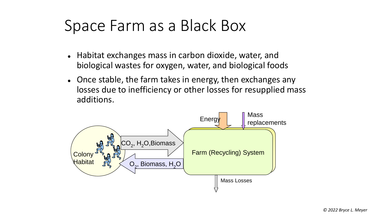#### Space Farm as a Black Box

- Habitat exchanges mass in carbon dioxide, water, and biological wastes for oxygen, water, and biological foods
- Once stable, the farm takes in energy, then exchanges any losses due to inefficiency or other losses for resupplied mass additions.